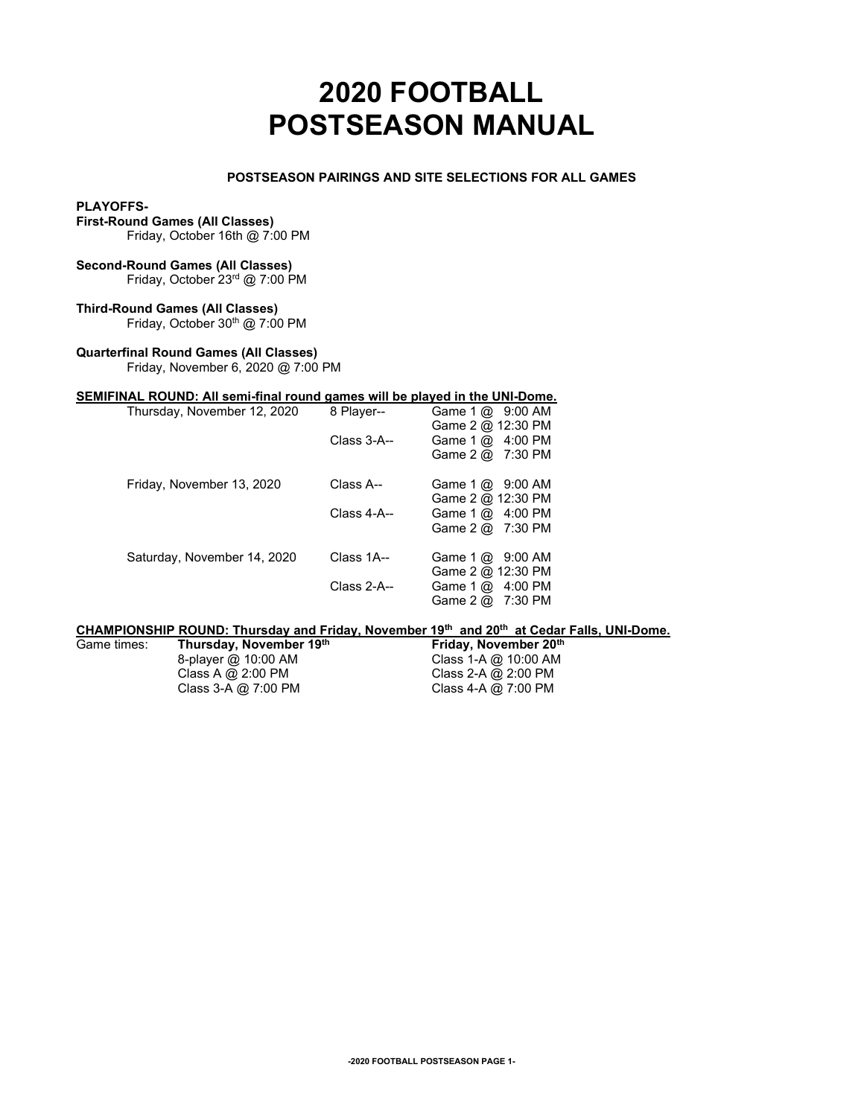# **2020 FOOTBALL POSTSEASON MANUAL**

## **POSTSEASON PAIRINGS AND SITE SELECTIONS FOR ALL GAMES**

#### **PLAYOFFS-**

**First-Round Games (All Classes)**

Friday, October 16th @ 7:00 PM

## **Second-Round Games (All Classes)**

Friday, October 23rd @ 7:00 PM

## **Third-Round Games (All Classes)**

Friday, October 30<sup>th</sup> @ 7:00 PM

## **Quarterfinal Round Games (All Classes)**

Friday, November 6, 2020 @ 7:00 PM

## **SEMIFINAL ROUND: All semi-final round games will be played in the UNI-Dome.**

| Thursday, November 12, 2020 | 8 Player--  | Game $1 \text{ @ } 9:00$ AM<br>Game 2 @ 12:30 PM             |
|-----------------------------|-------------|--------------------------------------------------------------|
|                             | Class 3-A-- | Game $1 \text{ @ } 4:00 \text{ PM}$                          |
|                             |             | Game $2 \omega$ 7:30 PM                                      |
| Friday, November 13, 2020   | Class A--   | Game $1 \text{ @ } 9:00$ AM                                  |
|                             |             | Game 2 @ 12:30 PM                                            |
|                             | Class 4-A-- | Game $1 \text{ @ } 4:00 \text{ PM}$                          |
|                             |             | Game $2 \text{ } \text{\&} \text{ } 7:30 \text{ } \text{PM}$ |
| Saturday, November 14, 2020 | Class 1A--  | Game $1 \text{ (}x2 \text{)}$ 9:00 AM                        |
|                             |             | Game 2 @ 12:30 PM                                            |
|                             | Class 2-A-- | Game $1 \text{ @ } 4:00 \text{ PM}$                          |
|                             |             | Game $2 \text{ } \text{\&} \text{ } 7:30 \text{ } \text{PM}$ |

## **CHAMPIONSHIP ROUND: Thursday and Friday, November 19th and 20th at Cedar Falls, UNI-Dome.**

Game times: **Thursday, November 19th** 8-player @ 10:00 AM 8-player @ 10:00 AM Class 1-A @ 10:00 AM Class 4 @ 2:00 PM Class 2-A @ 2:00 PM Class A  $\overline{Q}$  2:00 PM Class 2-A  $\overline{Q}$  2:00 PM Class 3-A  $\overline{Q}$  7:00 PM Class 4-A  $\overline{Q}$  7:00 PM Class  $4-A$  @  $7:00$  PM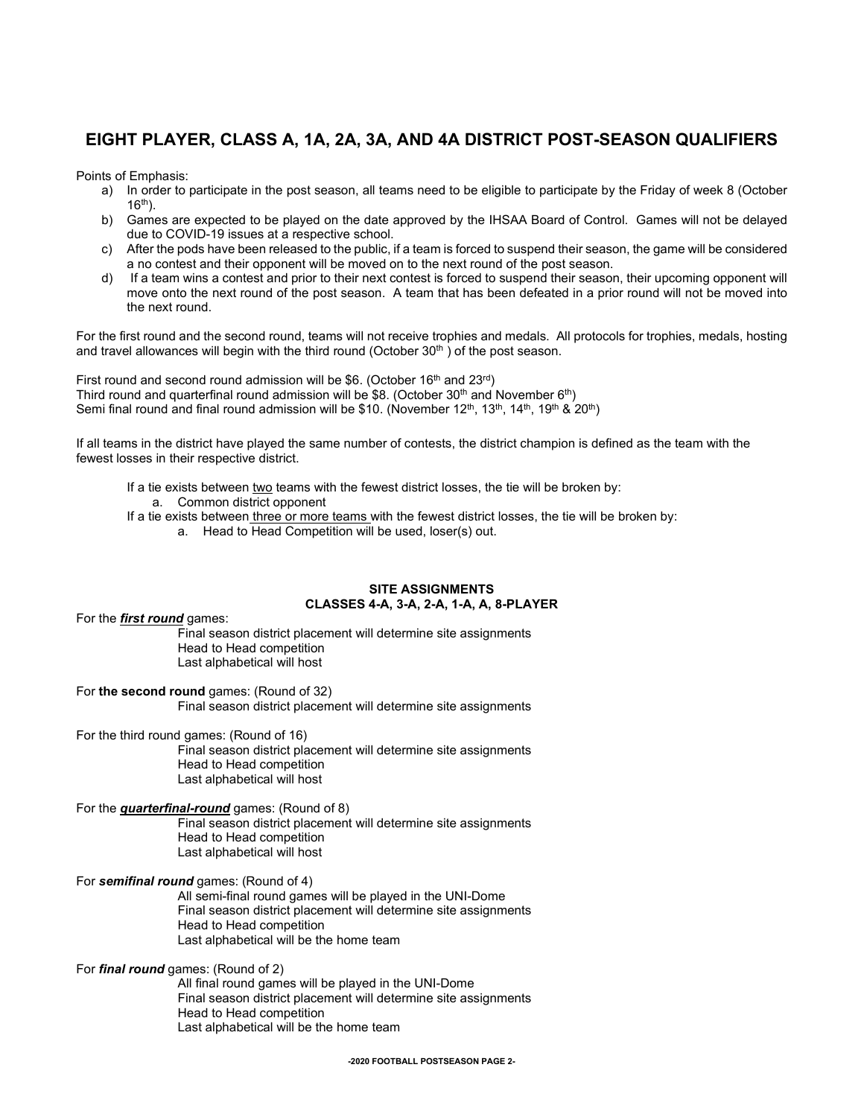## **EIGHT PLAYER, CLASS A, 1A, 2A, 3A, AND 4A DISTRICT POST-SEASON QUALIFIERS**

Points of Emphasis:

- a) In order to participate in the post season, all teams need to be eligible to participate by the Friday of week 8 (October  $16<sup>th</sup>$ ).
- b) Games are expected to be played on the date approved by the IHSAA Board of Control. Games will not be delayed due to COVID-19 issues at a respective school.
- c) After the pods have been released to the public, if a team is forced to suspend their season, the game will be considered a no contest and their opponent will be moved on to the next round of the post season.
- d) If a team wins a contest and prior to their next contest is forced to suspend their season, their upcoming opponent will move onto the next round of the post season. A team that has been defeated in a prior round will not be moved into the next round.

For the first round and the second round, teams will not receive trophies and medals. All protocols for trophies, medals, hosting and travel allowances will begin with the third round (October  $30<sup>th</sup>$ ) of the post season.

First round and second round admission will be \$6. (October  $16<sup>th</sup>$  and  $23<sup>rd</sup>$ ) Third round and quarterfinal round admission will be \$8. (October 30<sup>th</sup> and November 6<sup>th</sup>) Semi final round and final round admission will be \$10. (November 12<sup>th</sup>, 13<sup>th</sup>, 14<sup>th</sup>, 19<sup>th</sup> & 20<sup>th</sup>)

If all teams in the district have played the same number of contests, the district champion is defined as the team with the fewest losses in their respective district.

If a tie exists between two teams with the fewest district losses, the tie will be broken by: a. Common district opponent

If a tie exists between three or more teams with the fewest district losses, the tie will be broken by: a. Head to Head Competition will be used, loser(s) out.

## **SITE ASSIGNMENTS CLASSES 4-A, 3-A, 2-A, 1-A, A, 8-PLAYER**

For the *first round* games:

Final season district placement will determine site assignments Head to Head competition Last alphabetical will host

## For **the second round** games: (Round of 32)

Final season district placement will determine site assignments

For the third round games: (Round of 16)

Final season district placement will determine site assignments Head to Head competition Last alphabetical will host

## For the *quarterfinal-round* games: (Round of 8)

Final season district placement will determine site assignments Head to Head competition Last alphabetical will host

## For *semifinal round* games: (Round of 4)

All semi-final round games will be played in the UNI-Dome Final season district placement will determine site assignments Head to Head competition Last alphabetical will be the home team

## For *final round* games: (Round of 2)

All final round games will be played in the UNI-Dome Final season district placement will determine site assignments Head to Head competition Last alphabetical will be the home team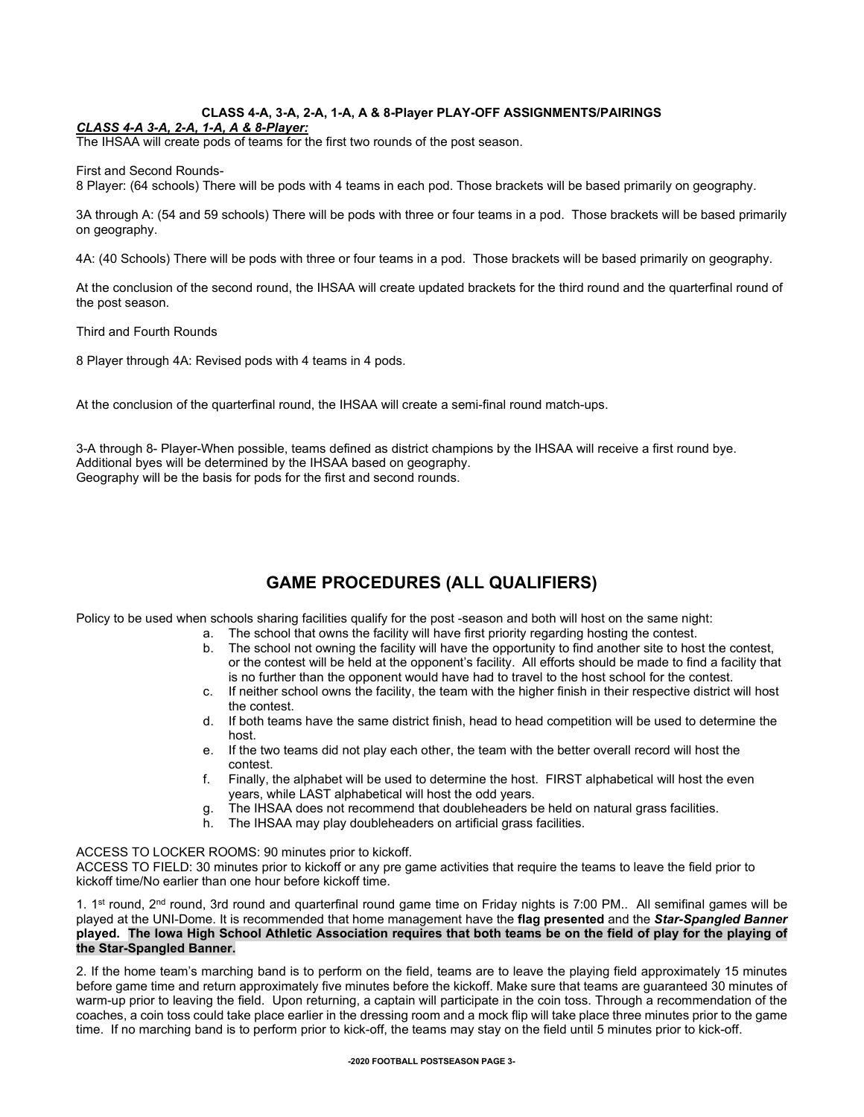## **CLASS 4-A, 3-A, 2-A, 1-A, A & 8-Player PLAY-OFF ASSIGNMENTS/PAIRINGS**

## *CLASS 4-A 3-A, 2-A, 1-A, A & 8-Player:*

The IHSAA will create pods of teams for the first two rounds of the post season.

First and Second Rounds-

8 Player: (64 schools) There will be pods with 4 teams in each pod. Those brackets will be based primarily on geography.

3A through A: (54 and 59 schools) There will be pods with three or four teams in a pod. Those brackets will be based primarily on geography.

4A: (40 Schools) There will be pods with three or four teams in a pod. Those brackets will be based primarily on geography.

At the conclusion of the second round, the IHSAA will create updated brackets for the third round and the quarterfinal round of the post season.

Third and Fourth Rounds

8 Player through 4A: Revised pods with 4 teams in 4 pods.

At the conclusion of the quarterfinal round, the IHSAA will create a semi-final round match-ups.

3-A through 8- Player-When possible, teams defined as district champions by the IHSAA will receive a first round bye. Additional byes will be determined by the IHSAA based on geography. Geography will be the basis for pods for the first and second rounds.

## **GAME PROCEDURES (ALL QUALIFIERS)**

Policy to be used when schools sharing facilities qualify for the post -season and both will host on the same night:

- a. The school that owns the facility will have first priority regarding hosting the contest.
- The school not owning the facility will have the opportunity to find another site to host the contest, or the contest will be held at the opponent's facility. All efforts should be made to find a facility that is no further than the opponent would have had to travel to the host school for the contest.
- c. If neither school owns the facility, the team with the higher finish in their respective district will host the contest.
- d. If both teams have the same district finish, head to head competition will be used to determine the host.
- e. If the two teams did not play each other, the team with the better overall record will host the contest.
- f. Finally, the alphabet will be used to determine the host. FIRST alphabetical will host the even years, while LAST alphabetical will host the odd years.
- g. The IHSAA does not recommend that doubleheaders be held on natural grass facilities.
- h. The IHSAA may play doubleheaders on artificial grass facilities.

ACCESS TO LOCKER ROOMS: 90 minutes prior to kickoff.

ACCESS TO FIELD: 30 minutes prior to kickoff or any pre game activities that require the teams to leave the field prior to kickoff time/No earlier than one hour before kickoff time.

1.  $1<sup>st</sup>$  round, 2<sup>nd</sup> round, 3rd round and quarterfinal round game time on Friday nights is 7:00 PM.. All semifinal games will be played at the UNI-Dome. It is recommended that home management have the **flag presented** and the *Star-Spangled Banner*  **played. The Iowa High School Athletic Association requires that both teams be on the field of play for the playing of the Star-Spangled Banner.**

2. If the home team's marching band is to perform on the field, teams are to leave the playing field approximately 15 minutes before game time and return approximately five minutes before the kickoff. Make sure that teams are guaranteed 30 minutes of warm-up prior to leaving the field. Upon returning, a captain will participate in the coin toss. Through a recommendation of the coaches, a coin toss could take place earlier in the dressing room and a mock flip will take place three minutes prior to the game time. If no marching band is to perform prior to kick-off, the teams may stay on the field until 5 minutes prior to kick-off.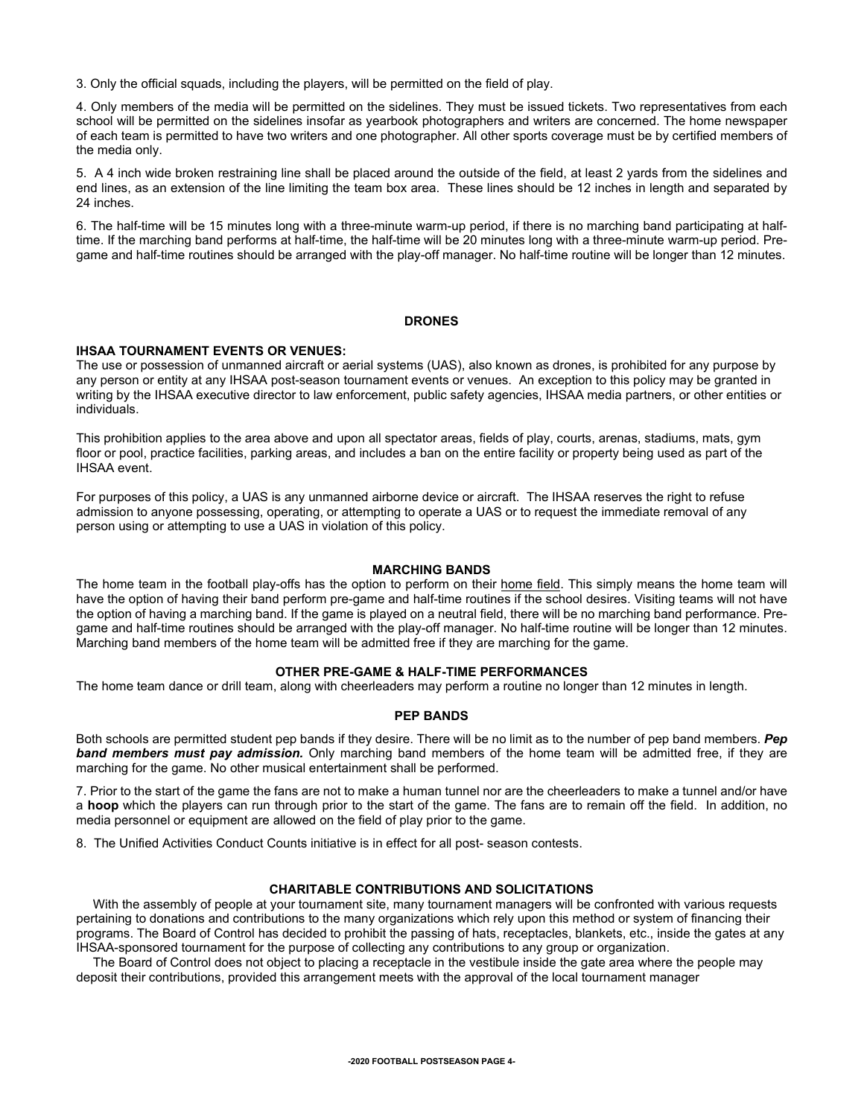3. Only the official squads, including the players, will be permitted on the field of play.

4. Only members of the media will be permitted on the sidelines. They must be issued tickets. Two representatives from each school will be permitted on the sidelines insofar as yearbook photographers and writers are concerned. The home newspaper of each team is permitted to have two writers and one photographer. All other sports coverage must be by certified members of the media only.

5. A 4 inch wide broken restraining line shall be placed around the outside of the field, at least 2 yards from the sidelines and end lines, as an extension of the line limiting the team box area. These lines should be 12 inches in length and separated by 24 inches.

6. The half-time will be 15 minutes long with a three-minute warm-up period, if there is no marching band participating at halftime. If the marching band performs at half-time, the half-time will be 20 minutes long with a three-minute warm-up period. Pregame and half-time routines should be arranged with the play-off manager. No half-time routine will be longer than 12 minutes.

## **DRONES**

## **IHSAA TOURNAMENT EVENTS OR VENUES:**

The use or possession of unmanned aircraft or aerial systems (UAS), also known as drones, is prohibited for any purpose by any person or entity at any IHSAA post-season tournament events or venues. An exception to this policy may be granted in writing by the IHSAA executive director to law enforcement, public safety agencies, IHSAA media partners, or other entities or individuals.

This prohibition applies to the area above and upon all spectator areas, fields of play, courts, arenas, stadiums, mats, gym floor or pool, practice facilities, parking areas, and includes a ban on the entire facility or property being used as part of the IHSAA event.

For purposes of this policy, a UAS is any unmanned airborne device or aircraft. The IHSAA reserves the right to refuse admission to anyone possessing, operating, or attempting to operate a UAS or to request the immediate removal of any person using or attempting to use a UAS in violation of this policy.

## **MARCHING BANDS**

The home team in the football play-offs has the option to perform on their home field. This simply means the home team will have the option of having their band perform pre-game and half-time routines if the school desires. Visiting teams will not have the option of having a marching band. If the game is played on a neutral field, there will be no marching band performance. Pregame and half-time routines should be arranged with the play-off manager. No half-time routine will be longer than 12 minutes. Marching band members of the home team will be admitted free if they are marching for the game.

## **OTHER PRE-GAME & HALF-TIME PERFORMANCES**

The home team dance or drill team, along with cheerleaders may perform a routine no longer than 12 minutes in length.

## **PEP BANDS**

Both schools are permitted student pep bands if they desire. There will be no limit as to the number of pep band members. *Pep band members must pay admission.* Only marching band members of the home team will be admitted free, if they are marching for the game. No other musical entertainment shall be performed.

7. Prior to the start of the game the fans are not to make a human tunnel nor are the cheerleaders to make a tunnel and/or have a **hoop** which the players can run through prior to the start of the game. The fans are to remain off the field. In addition, no media personnel or equipment are allowed on the field of play prior to the game.

8. The Unified Activities Conduct Counts initiative is in effect for all post- season contests.

## **CHARITABLE CONTRIBUTIONS AND SOLICITATIONS**

With the assembly of people at your tournament site, many tournament managers will be confronted with various requests pertaining to donations and contributions to the many organizations which rely upon this method or system of financing their programs. The Board of Control has decided to prohibit the passing of hats, receptacles, blankets, etc., inside the gates at any IHSAA-sponsored tournament for the purpose of collecting any contributions to any group or organization.

The Board of Control does not object to placing a receptacle in the vestibule inside the gate area where the people may deposit their contributions, provided this arrangement meets with the approval of the local tournament manager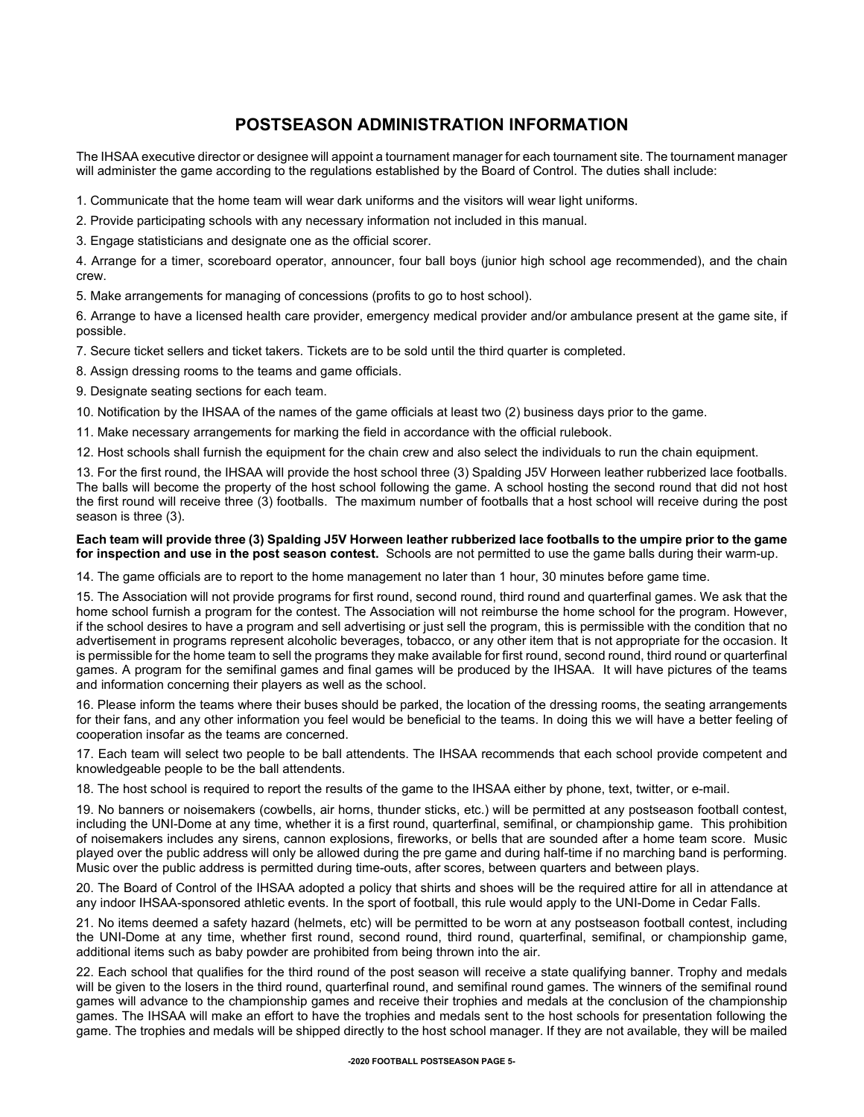## **POSTSEASON ADMINISTRATION INFORMATION**

The IHSAA executive director or designee will appoint a tournament manager for each tournament site. The tournament manager will administer the game according to the regulations established by the Board of Control. The duties shall include:

1. Communicate that the home team will wear dark uniforms and the visitors will wear light uniforms.

2. Provide participating schools with any necessary information not included in this manual.

3. Engage statisticians and designate one as the official scorer.

4. Arrange for a timer, scoreboard operator, announcer, four ball boys (junior high school age recommended), and the chain crew.

5. Make arrangements for managing of concessions (profits to go to host school).

6. Arrange to have a licensed health care provider, emergency medical provider and/or ambulance present at the game site, if possible.

7. Secure ticket sellers and ticket takers. Tickets are to be sold until the third quarter is completed.

8. Assign dressing rooms to the teams and game officials.

9. Designate seating sections for each team.

10. Notification by the IHSAA of the names of the game officials at least two (2) business days prior to the game.

11. Make necessary arrangements for marking the field in accordance with the official rulebook.

12. Host schools shall furnish the equipment for the chain crew and also select the individuals to run the chain equipment.

13. For the first round, the IHSAA will provide the host school three (3) Spalding J5V Horween leather rubberized lace footballs. The balls will become the property of the host school following the game. A school hosting the second round that did not host the first round will receive three (3) footballs. The maximum number of footballs that a host school will receive during the post season is three (3).

## **Each team will provide three (3) Spalding J5V Horween leather rubberized lace footballs to the umpire prior to the game for inspection and use in the post season contest.** Schools are not permitted to use the game balls during their warm-up.

14. The game officials are to report to the home management no later than 1 hour, 30 minutes before game time.

15. The Association will not provide programs for first round, second round, third round and quarterfinal games. We ask that the home school furnish a program for the contest. The Association will not reimburse the home school for the program. However, if the school desires to have a program and sell advertising or just sell the program, this is permissible with the condition that no advertisement in programs represent alcoholic beverages, tobacco, or any other item that is not appropriate for the occasion. It is permissible for the home team to sell the programs they make available for first round, second round, third round or quarterfinal games. A program for the semifinal games and final games will be produced by the IHSAA. It will have pictures of the teams and information concerning their players as well as the school.

16. Please inform the teams where their buses should be parked, the location of the dressing rooms, the seating arrangements for their fans, and any other information you feel would be beneficial to the teams. In doing this we will have a better feeling of cooperation insofar as the teams are concerned.

17. Each team will select two people to be ball attendents. The IHSAA recommends that each school provide competent and knowledgeable people to be the ball attendents.

18. The host school is required to report the results of the game to the IHSAA either by phone, text, twitter, or e-mail.

19. No banners or noisemakers (cowbells, air horns, thunder sticks, etc.) will be permitted at any postseason football contest, including the UNI-Dome at any time, whether it is a first round, quarterfinal, semifinal, or championship game. This prohibition of noisemakers includes any sirens, cannon explosions, fireworks, or bells that are sounded after a home team score. Music played over the public address will only be allowed during the pre game and during half-time if no marching band is performing. Music over the public address is permitted during time-outs, after scores, between quarters and between plays.

20. The Board of Control of the IHSAA adopted a policy that shirts and shoes will be the required attire for all in attendance at any indoor IHSAA-sponsored athletic events. In the sport of football, this rule would apply to the UNI-Dome in Cedar Falls.

21. No items deemed a safety hazard (helmets, etc) will be permitted to be worn at any postseason football contest, including the UNI-Dome at any time, whether first round, second round, third round, quarterfinal, semifinal, or championship game, additional items such as baby powder are prohibited from being thrown into the air.

22. Each school that qualifies for the third round of the post season will receive a state qualifying banner. Trophy and medals will be given to the losers in the third round, quarterfinal round, and semifinal round games. The winners of the semifinal round games will advance to the championship games and receive their trophies and medals at the conclusion of the championship games. The IHSAA will make an effort to have the trophies and medals sent to the host schools for presentation following the game. The trophies and medals will be shipped directly to the host school manager. If they are not available, they will be mailed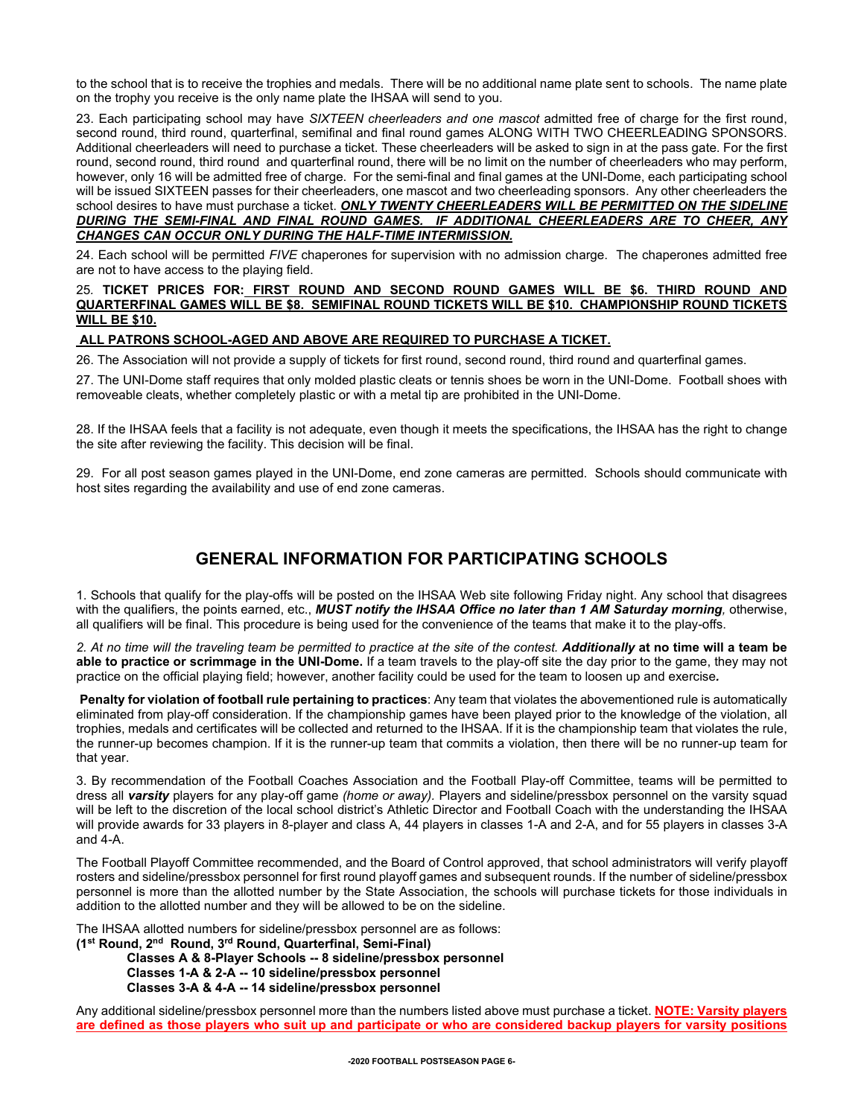to the school that is to receive the trophies and medals. There will be no additional name plate sent to schools. The name plate on the trophy you receive is the only name plate the IHSAA will send to you.

23. Each participating school may have *SIXTEEN cheerleaders and one mascot* admitted free of charge for the first round, second round, third round, quarterfinal, semifinal and final round games ALONG WITH TWO CHEERLEADING SPONSORS. Additional cheerleaders will need to purchase a ticket. These cheerleaders will be asked to sign in at the pass gate. For the first round, second round, third round and quarterfinal round, there will be no limit on the number of cheerleaders who may perform, however, only 16 will be admitted free of charge. For the semi-final and final games at the UNI-Dome, each participating school will be issued SIXTEEN passes for their cheerleaders, one mascot and two cheerleading sponsors. Any other cheerleaders the school desires to have must purchase a ticket. *ONLY TWENTY CHEERLEADERS WILL BE PERMITTED ON THE SIDELINE DURING THE SEMI-FINAL AND FINAL ROUND GAMES. IF ADDITIONAL CHEERLEADERS ARE TO CHEER, ANY CHANGES CAN OCCUR ONLY DURING THE HALF-TIME INTERMISSION.*

24. Each school will be permitted *FIVE* chaperones for supervision with no admission charge. The chaperones admitted free are not to have access to the playing field.

## 25*.* **TICKET PRICES FOR: FIRST ROUND AND SECOND ROUND GAMES WILL BE \$6. THIRD ROUND AND QUARTERFINAL GAMES WILL BE \$8. SEMIFINAL ROUND TICKETS WILL BE \$10. CHAMPIONSHIP ROUND TICKETS WILL BE \$10.**

## **ALL PATRONS SCHOOL-AGED AND ABOVE ARE REQUIRED TO PURCHASE A TICKET.**

26. The Association will not provide a supply of tickets for first round, second round, third round and quarterfinal games.

27. The UNI-Dome staff requires that only molded plastic cleats or tennis shoes be worn in the UNI-Dome. Football shoes with removeable cleats, whether completely plastic or with a metal tip are prohibited in the UNI-Dome.

28. If the IHSAA feels that a facility is not adequate, even though it meets the specifications, the IHSAA has the right to change the site after reviewing the facility. This decision will be final.

29. For all post season games played in the UNI-Dome, end zone cameras are permitted. Schools should communicate with host sites regarding the availability and use of end zone cameras.

## **GENERAL INFORMATION FOR PARTICIPATING SCHOOLS**

1. Schools that qualify for the play-offs will be posted on the IHSAA Web site following Friday night. Any school that disagrees with the qualifiers, the points earned, etc., *MUST notify the IHSAA Office no later than 1 AM Saturday morning,* otherwise, all qualifiers will be final. This procedure is being used for the convenience of the teams that make it to the play-offs.

*2. At no time will the traveling team be permitted to practice at the site of the contest. Additionally* **at no time will a team be able to practice or scrimmage in the UNI-Dome.** If a team travels to the play-off site the day prior to the game, they may not practice on the official playing field; however, another facility could be used for the team to loosen up and exercise*.*

**Penalty for violation of football rule pertaining to practices**: Any team that violates the abovementioned rule is automatically eliminated from play-off consideration. If the championship games have been played prior to the knowledge of the violation, all trophies, medals and certificates will be collected and returned to the IHSAA. If it is the championship team that violates the rule, the runner-up becomes champion. If it is the runner-up team that commits a violation, then there will be no runner-up team for that year.

3. By recommendation of the Football Coaches Association and the Football Play-off Committee, teams will be permitted to dress all *varsity* players for any play-off game *(home or away).* Players and sideline/pressbox personnel on the varsity squad will be left to the discretion of the local school district's Athletic Director and Football Coach with the understanding the IHSAA will provide awards for 33 players in 8-player and class A, 44 players in classes 1-A and 2-A, and for 55 players in classes 3-A and 4-A.

The Football Playoff Committee recommended, and the Board of Control approved, that school administrators will verify playoff rosters and sideline/pressbox personnel for first round playoff games and subsequent rounds. If the number of sideline/pressbox personnel is more than the allotted number by the State Association, the schools will purchase tickets for those individuals in addition to the allotted number and they will be allowed to be on the sideline.

The IHSAA allotted numbers for sideline/pressbox personnel are as follows:

**(1st Round, 2nd Round, 3rd Round, Quarterfinal, Semi-Final)**

**Classes A & 8-Player Schools -- 8 sideline/pressbox personnel Classes 1-A & 2-A -- 10 sideline/pressbox personnel Classes 3-A & 4-A -- 14 sideline/pressbox personnel**

Any additional sideline/pressbox personnel more than the numbers listed above must purchase a ticket. **NOTE: Varsity players are defined as those players who suit up and participate or who are considered backup players for varsity positions**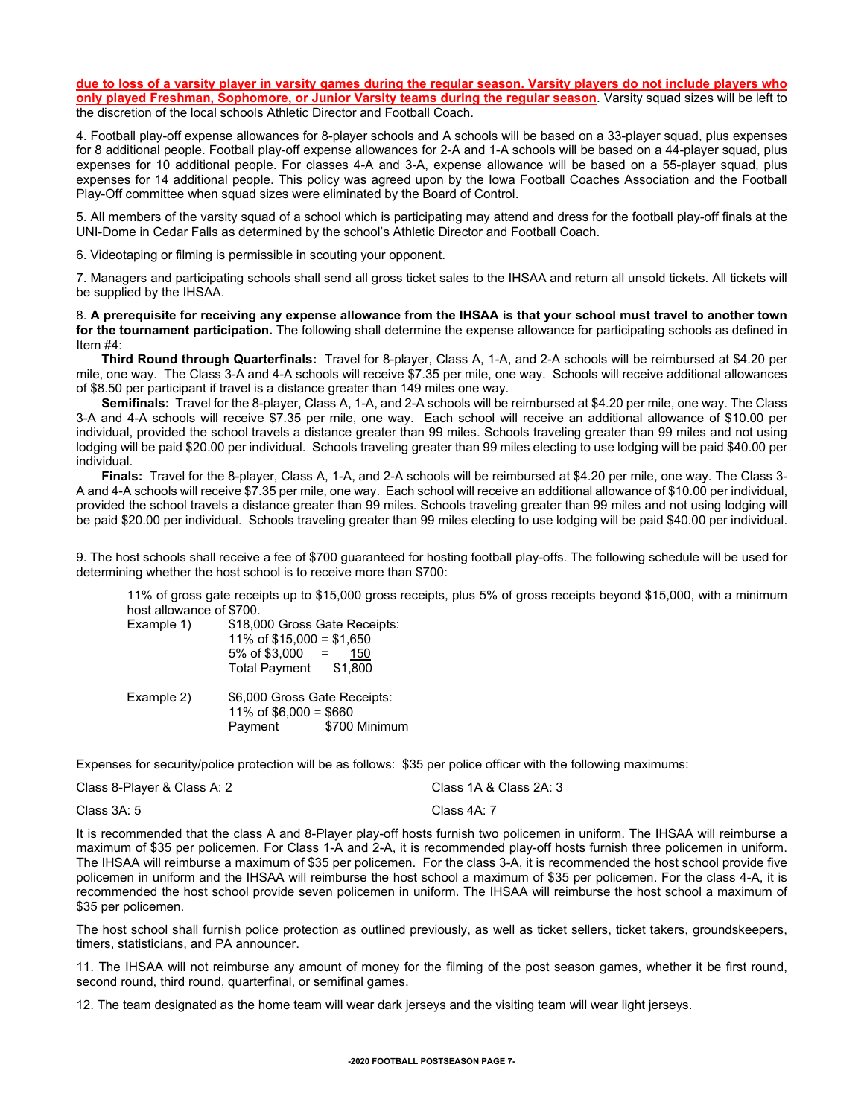**due to loss of a varsity player in varsity games during the regular season. Varsity players do not include players who only played Freshman, Sophomore, or Junior Varsity teams during the regular season**. Varsity squad sizes will be left to the discretion of the local schools Athletic Director and Football Coach.

4. Football play-off expense allowances for 8-player schools and A schools will be based on a 33-player squad, plus expenses for 8 additional people. Football play-off expense allowances for 2-A and 1-A schools will be based on a 44-player squad, plus expenses for 10 additional people. For classes 4-A and 3-A, expense allowance will be based on a 55-player squad, plus expenses for 14 additional people. This policy was agreed upon by the Iowa Football Coaches Association and the Football Play-Off committee when squad sizes were eliminated by the Board of Control.

5. All members of the varsity squad of a school which is participating may attend and dress for the football play-off finals at the UNI-Dome in Cedar Falls as determined by the school's Athletic Director and Football Coach.

6. Videotaping or filming is permissible in scouting your opponent.

7. Managers and participating schools shall send all gross ticket sales to the IHSAA and return all unsold tickets. All tickets will be supplied by the IHSAA.

8. **A prerequisite for receiving any expense allowance from the IHSAA is that your school must travel to another town for the tournament participation.** The following shall determine the expense allowance for participating schools as defined in Item #4:

**Third Round through Quarterfinals:** Travel for 8-player, Class A, 1-A, and 2-A schools will be reimbursed at \$4.20 per mile, one way. The Class 3-A and 4-A schools will receive \$7.35 per mile, one way. Schools will receive additional allowances of \$8.50 per participant if travel is a distance greater than 149 miles one way.

**Semifinals:** Travel for the 8-player, Class A, 1-A, and 2-A schools will be reimbursed at \$4.20 per mile, one way. The Class 3-A and 4-A schools will receive \$7.35 per mile, one way. Each school will receive an additional allowance of \$10.00 per individual, provided the school travels a distance greater than 99 miles. Schools traveling greater than 99 miles and not using lodging will be paid \$20.00 per individual. Schools traveling greater than 99 miles electing to use lodging will be paid \$40.00 per individual.

**Finals:** Travel for the 8-player, Class A, 1-A, and 2-A schools will be reimbursed at \$4.20 per mile, one way. The Class 3- A and 4-A schools will receive \$7.35 per mile, one way. Each school will receive an additional allowance of \$10.00 per individual, provided the school travels a distance greater than 99 miles. Schools traveling greater than 99 miles and not using lodging will be paid \$20.00 per individual. Schools traveling greater than 99 miles electing to use lodging will be paid \$40.00 per individual.

9. The host schools shall receive a fee of \$700 guaranteed for hosting football play-offs. The following schedule will be used for determining whether the host school is to receive more than \$700:

11% of gross gate receipts up to \$15,000 gross receipts, plus 5% of gross receipts beyond \$15,000, with a minimum host allowance of \$700.

| Example 1) | \$18,000 Gross Gate Receipts:<br>11% of $$15,000 = $1,650$<br>$5\% \text{ of } $3,000 =$<br>150<br>\$1,800<br>Total Payment |
|------------|-----------------------------------------------------------------------------------------------------------------------------|
| Example 2) | \$6,000 Gross Gate Receipts:<br>11% of $$6,000 = $660$<br>\$700 Minimum<br>Payment                                          |

Expenses for security/police protection will be as follows: \$35 per police officer with the following maximums:

Class 8-Player & Class A: 2 Class 1A & Class 2A: 3

Class 3A: 5 Class 4A: 7

It is recommended that the class A and 8-Player play-off hosts furnish two policemen in uniform. The IHSAA will reimburse a maximum of \$35 per policemen. For Class 1-A and 2-A, it is recommended play-off hosts furnish three policemen in uniform. The IHSAA will reimburse a maximum of \$35 per policemen. For the class 3-A, it is recommended the host school provide five policemen in uniform and the IHSAA will reimburse the host school a maximum of \$35 per policemen. For the class 4-A, it is recommended the host school provide seven policemen in uniform. The IHSAA will reimburse the host school a maximum of \$35 per policemen.

The host school shall furnish police protection as outlined previously, as well as ticket sellers, ticket takers, groundskeepers, timers, statisticians, and PA announcer.

11. The IHSAA will not reimburse any amount of money for the filming of the post season games, whether it be first round, second round, third round, quarterfinal, or semifinal games.

12. The team designated as the home team will wear dark jerseys and the visiting team will wear light jerseys.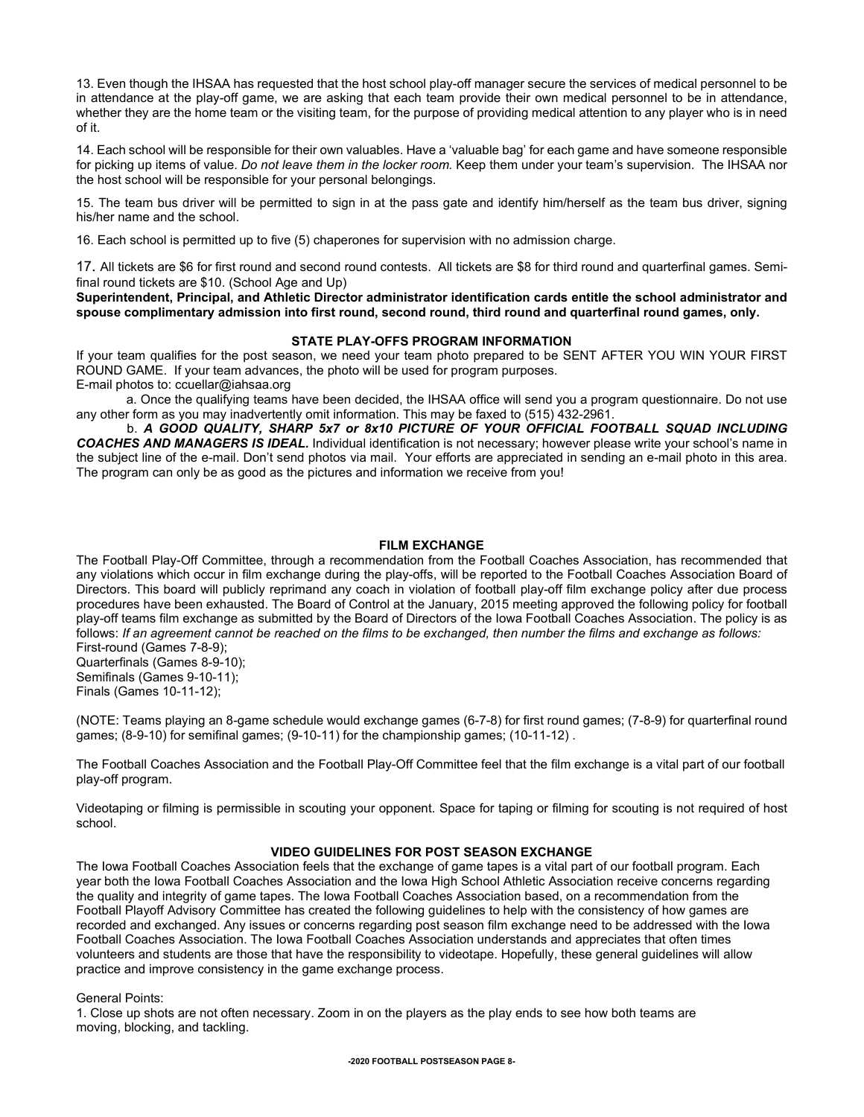13. Even though the IHSAA has requested that the host school play-off manager secure the services of medical personnel to be in attendance at the play-off game, we are asking that each team provide their own medical personnel to be in attendance, whether they are the home team or the visiting team, for the purpose of providing medical attention to any player who is in need of it.

14. Each school will be responsible for their own valuables. Have a 'valuable bag' for each game and have someone responsible for picking up items of value. *Do not leave them in the locker room.* Keep them under your team's supervision. The IHSAA nor the host school will be responsible for your personal belongings.

15. The team bus driver will be permitted to sign in at the pass gate and identify him/herself as the team bus driver, signing his/her name and the school.

16. Each school is permitted up to five (5) chaperones for supervision with no admission charge.

17. All tickets are \$6 for first round and second round contests. All tickets are \$8 for third round and quarterfinal games. Semifinal round tickets are \$10. (School Age and Up)

**Superintendent, Principal, and Athletic Director administrator identification cards entitle the school administrator and spouse complimentary admission into first round, second round, third round and quarterfinal round games, only.**

## **STATE PLAY-OFFS PROGRAM INFORMATION**

If your team qualifies for the post season, we need your team photo prepared to be SENT AFTER YOU WIN YOUR FIRST ROUND GAME. If your team advances, the photo will be used for program purposes.

E-mail photos to: ccuellar@iahsaa.org

 a. Once the qualifying teams have been decided, the IHSAA office will send you a program questionnaire. Do not use any other form as you may inadvertently omit information. This may be faxed to (515) 432-2961.

b. *A GOOD QUALITY, SHARP 5x7 or 8x10 PICTURE OF YOUR OFFICIAL FOOTBALL SQUAD lNCLUDING COACHES AND MANAGERS IS IDEAL.* Individual identification is not necessary; however please write your school's name in the subject line of the e-mail. Don't send photos via mail. Your efforts are appreciated in sending an e-mail photo in this area. The program can only be as good as the pictures and information we receive from you!

## **FILM EXCHANGE**

The Football Play-Off Committee, through a recommendation from the Football Coaches Association, has recommended that any violations which occur in film exchange during the play-offs, will be reported to the Football Coaches Association Board of Directors. This board will publicly reprimand any coach in violation of football play-off film exchange policy after due process procedures have been exhausted. The Board of Control at the January, 2015 meeting approved the following policy for football play-off teams film exchange as submitted by the Board of Directors of the Iowa Football Coaches Association. The policy is as follows: *If an agreement cannot be reached on the films to be exchanged, then number the films and exchange as follows:*  First-round (Games 7-8-9);

Quarterfinals (Games 8-9-10); Semifinals (Games 9-10-11); Finals (Games 10-11-12);

(NOTE: Teams playing an 8-game schedule would exchange games (6-7-8) for first round games; (7-8-9) for quarterfinal round games; (8-9-10) for semifinal games; (9-10-11) for the championship games; (10-11-12) .

The Football Coaches Association and the Football Play-Off Committee feel that the film exchange is a vital part of our football play-off program.

Videotaping or filming is permissible in scouting your opponent. Space for taping or filming for scouting is not required of host school.

## **VIDEO GUIDELINES FOR POST SEASON EXCHANGE**

The Iowa Football Coaches Association feels that the exchange of game tapes is a vital part of our football program. Each year both the Iowa Football Coaches Association and the Iowa High School Athletic Association receive concerns regarding the quality and integrity of game tapes. The Iowa Football Coaches Association based, on a recommendation from the Football Playoff Advisory Committee has created the following guidelines to help with the consistency of how games are recorded and exchanged. Any issues or concerns regarding post season film exchange need to be addressed with the Iowa Football Coaches Association. The Iowa Football Coaches Association understands and appreciates that often times volunteers and students are those that have the responsibility to videotape. Hopefully, these general guidelines will allow practice and improve consistency in the game exchange process.

General Points:

1. Close up shots are not often necessary. Zoom in on the players as the play ends to see how both teams are moving, blocking, and tackling.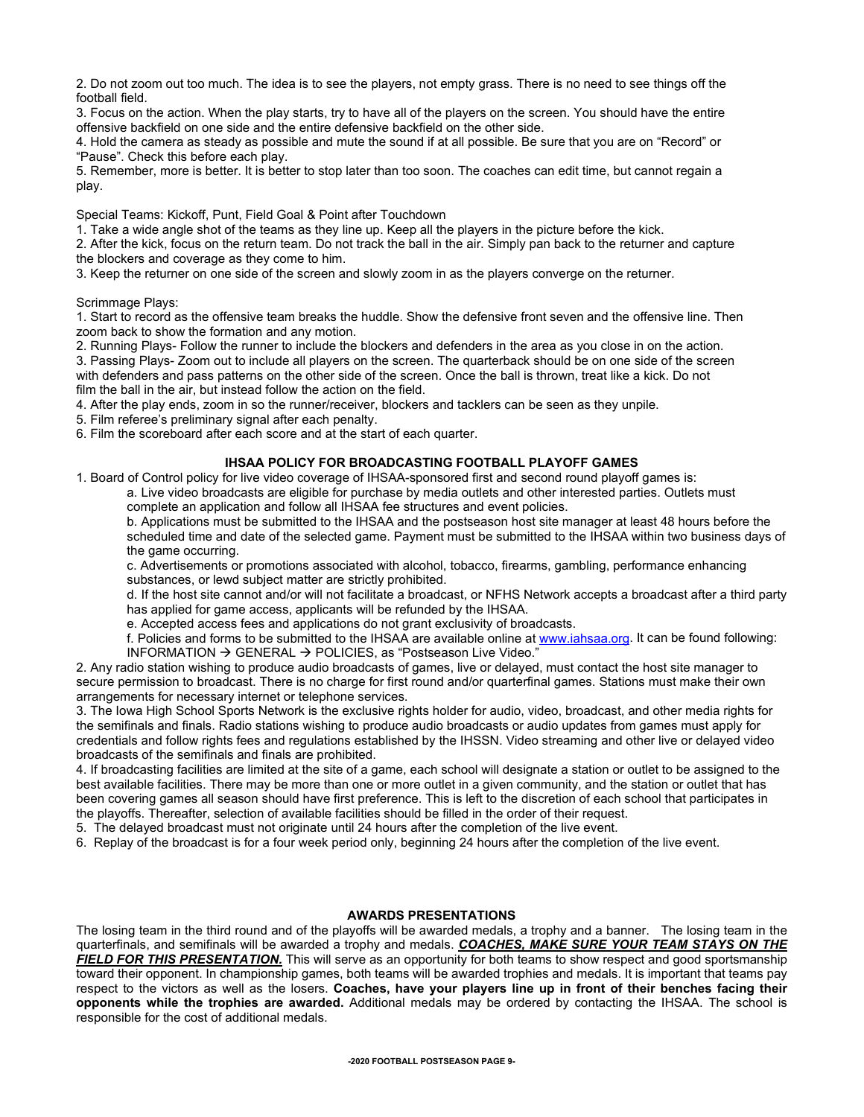2. Do not zoom out too much. The idea is to see the players, not empty grass. There is no need to see things off the football field.

3. Focus on the action. When the play starts, try to have all of the players on the screen. You should have the entire offensive backfield on one side and the entire defensive backfield on the other side.

4. Hold the camera as steady as possible and mute the sound if at all possible. Be sure that you are on "Record" or "Pause". Check this before each play.

5. Remember, more is better. It is better to stop later than too soon. The coaches can edit time, but cannot regain a play.

Special Teams: Kickoff, Punt, Field Goal & Point after Touchdown

1. Take a wide angle shot of the teams as they line up. Keep all the players in the picture before the kick.

2. After the kick, focus on the return team. Do not track the ball in the air. Simply pan back to the returner and capture the blockers and coverage as they come to him.

3. Keep the returner on one side of the screen and slowly zoom in as the players converge on the returner.

Scrimmage Plays:

1. Start to record as the offensive team breaks the huddle. Show the defensive front seven and the offensive line. Then zoom back to show the formation and any motion.

2. Running Plays- Follow the runner to include the blockers and defenders in the area as you close in on the action.

3. Passing Plays- Zoom out to include all players on the screen. The quarterback should be on one side of the screen with defenders and pass patterns on the other side of the screen. Once the ball is thrown, treat like a kick. Do not film the ball in the air, but instead follow the action on the field.

4. After the play ends, zoom in so the runner/receiver, blockers and tacklers can be seen as they unpile.

5. Film referee's preliminary signal after each penalty.

6. Film the scoreboard after each score and at the start of each quarter.

## **IHSAA POLICY FOR BROADCASTING FOOTBALL PLAYOFF GAMES**

1. Board of Control policy for live video coverage of IHSAA-sponsored first and second round playoff games is:

a. Live video broadcasts are eligible for purchase by media outlets and other interested parties. Outlets must complete an application and follow all IHSAA fee structures and event policies.

b. Applications must be submitted to the IHSAA and the postseason host site manager at least 48 hours before the scheduled time and date of the selected game. Payment must be submitted to the IHSAA within two business days of the game occurring.

c. Advertisements or promotions associated with alcohol, tobacco, firearms, gambling, performance enhancing substances, or lewd subject matter are strictly prohibited.

d. If the host site cannot and/or will not facilitate a broadcast, or NFHS Network accepts a broadcast after a third party has applied for game access, applicants will be refunded by the IHSAA.

e. Accepted access fees and applications do not grant exclusivity of broadcasts.

f. Policies and forms to be submitted to the IHSAA are available online at [www.iahsaa.org.](http://www.iahsaa.org/) It can be found following: INFORMATION  $\rightarrow$  GENERAL  $\rightarrow$  POLICIES, as "Postseason Live Video."

2. Any radio station wishing to produce audio broadcasts of games, live or delayed, must contact the host site manager to secure permission to broadcast. There is no charge for first round and/or quarterfinal games. Stations must make their own arrangements for necessary internet or telephone services.

3. The Iowa High School Sports Network is the exclusive rights holder for audio, video, broadcast, and other media rights for the semifinals and finals. Radio stations wishing to produce audio broadcasts or audio updates from games must apply for credentials and follow rights fees and regulations established by the IHSSN. Video streaming and other live or delayed video broadcasts of the semifinals and finals are prohibited.

4. If broadcasting facilities are limited at the site of a game, each school will designate a station or outlet to be assigned to the best available facilities. There may be more than one or more outlet in a given community, and the station or outlet that has been covering games all season should have first preference. This is left to the discretion of each school that participates in the playoffs. Thereafter, selection of available facilities should be filled in the order of their request.

5. The delayed broadcast must not originate until 24 hours after the completion of the live event.

6. Replay of the broadcast is for a four week period only, beginning 24 hours after the completion of the live event.

## **AWARDS PRESENTATIONS**

The losing team in the third round and of the playoffs will be awarded medals, a trophy and a banner. The losing team in the quarterfinals, and semifinals will be awarded a trophy and medals. *COACHES, MAKE SURE YOUR TEAM STAYS ON THE FIELD FOR THIS PRESENTATION.* This will serve as an opportunity for both teams to show respect and good sportsmanship toward their opponent. In championship games, both teams will be awarded trophies and medals. It is important that teams pay respect to the victors as well as the losers. **Coaches, have your players line up in front of their benches facing their opponents while the trophies are awarded.** Additional medals may be ordered by contacting the IHSAA. The school is responsible for the cost of additional medals.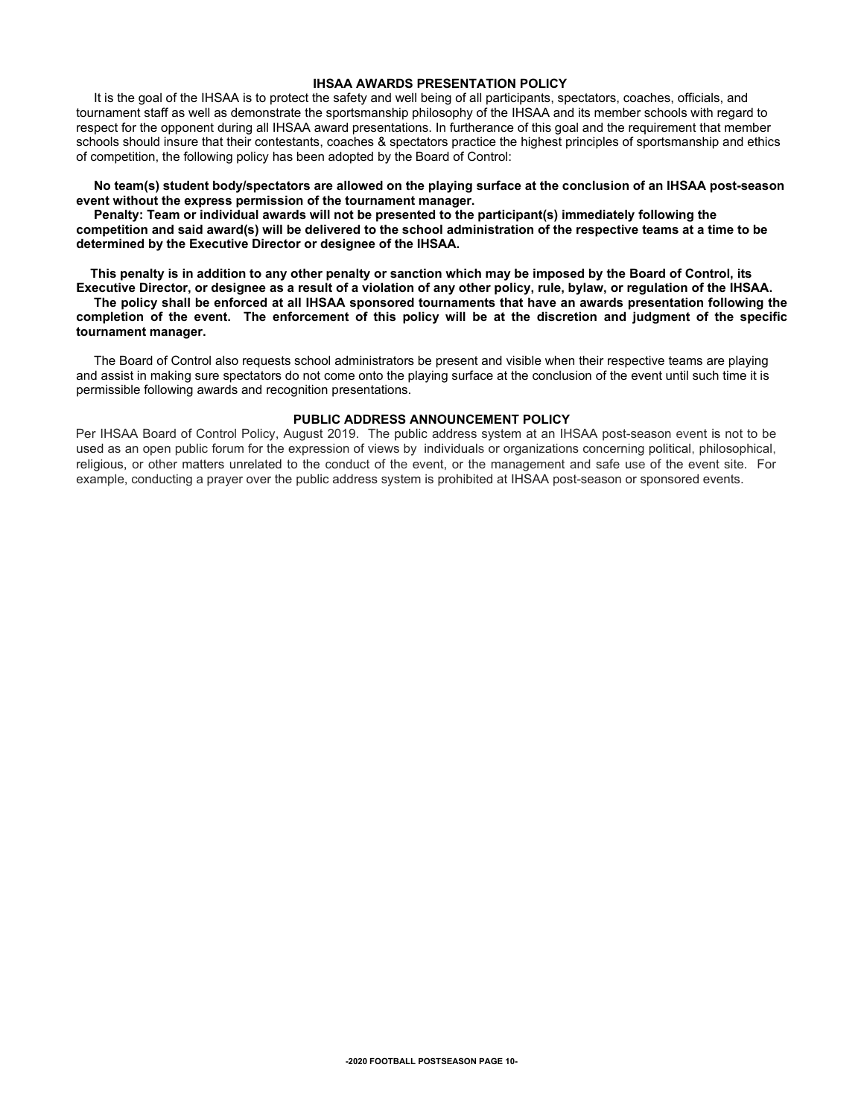## **IHSAA AWARDS PRESENTATION POLICY**

It is the goal of the IHSAA is to protect the safety and well being of all participants, spectators, coaches, officials, and tournament staff as well as demonstrate the sportsmanship philosophy of the IHSAA and its member schools with regard to respect for the opponent during all IHSAA award presentations. In furtherance of this goal and the requirement that member schools should insure that their contestants, coaches & spectators practice the highest principles of sportsmanship and ethics of competition, the following policy has been adopted by the Board of Control:

### **No team(s) student body/spectators are allowed on the playing surface at the conclusion of an IHSAA post-season event without the express permission of the tournament manager.**

 **Penalty: Team or individual awards will not be presented to the participant(s) immediately following the competition and said award(s) will be delivered to the school administration of the respective teams at a time to be determined by the Executive Director or designee of the IHSAA.**

 **This penalty is in addition to any other penalty or sanction which may be imposed by the Board of Control, its Executive Director, or designee as a result of a violation of any other policy, rule, bylaw, or regulation of the IHSAA.** 

 **The policy shall be enforced at all IHSAA sponsored tournaments that have an awards presentation following the completion of the event. The enforcement of this policy will be at the discretion and judgment of the specific tournament manager.** 

 The Board of Control also requests school administrators be present and visible when their respective teams are playing and assist in making sure spectators do not come onto the playing surface at the conclusion of the event until such time it is permissible following awards and recognition presentations.

## **PUBLIC ADDRESS ANNOUNCEMENT POLICY**

Per IHSAA Board of Control Policy, August 2019. The public address system at an IHSAA post-season event is not to be used as an open public forum for the expression of views by individuals or organizations concerning political, philosophical, religious, or other matters unrelated to the conduct of the event, or the management and safe use of the event site. For example, conducting a prayer over the public address system is prohibited at IHSAA post-season or sponsored events.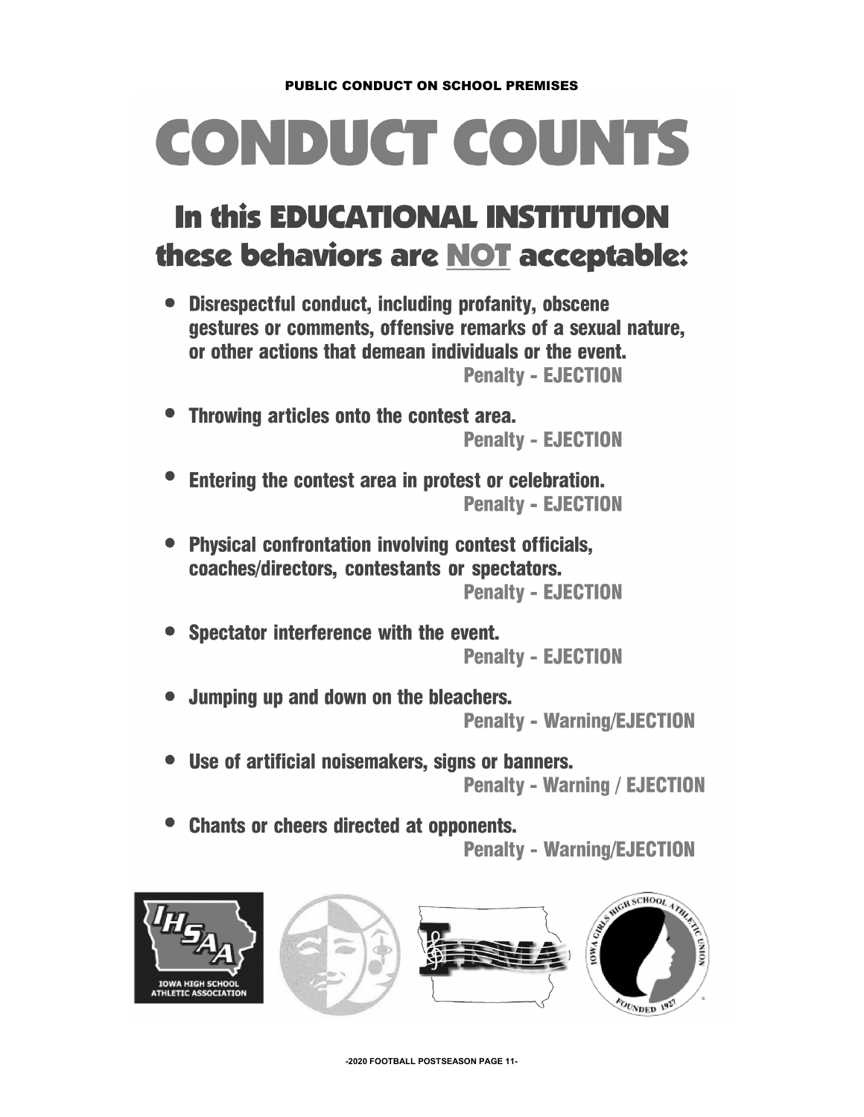# **CONDUCT COUNTS**

# **In this EDUCATIONAL INSTITUTION** these behaviors are NOT acceptable:

• Disrespectful conduct, including profanity, obscene destures or comments, offensive remarks of a sexual nature. or other actions that demean individuals or the event. **Penalty - EJECTION** 

- Throwing articles onto the contest area. **Penalty - EJECTION**
- Entering the contest area in protest or celebration. **Penalty - EJECTION**
- **Physical confrontation involving contest officials.** coaches/directors. contestants or spectators. **Penalty - EJECTION**
- Spectator interference with the event. **Penalty - EJECTION**
- Jumping up and down on the bleachers. **Penalty - Warning/EJECTION**
- Use of artificial noisemakers, signs or banners. **Penalty - Warning / EJECTION**
- **Chants or cheers directed at opponents.**

**Penalty - Warning/EJECTION** 







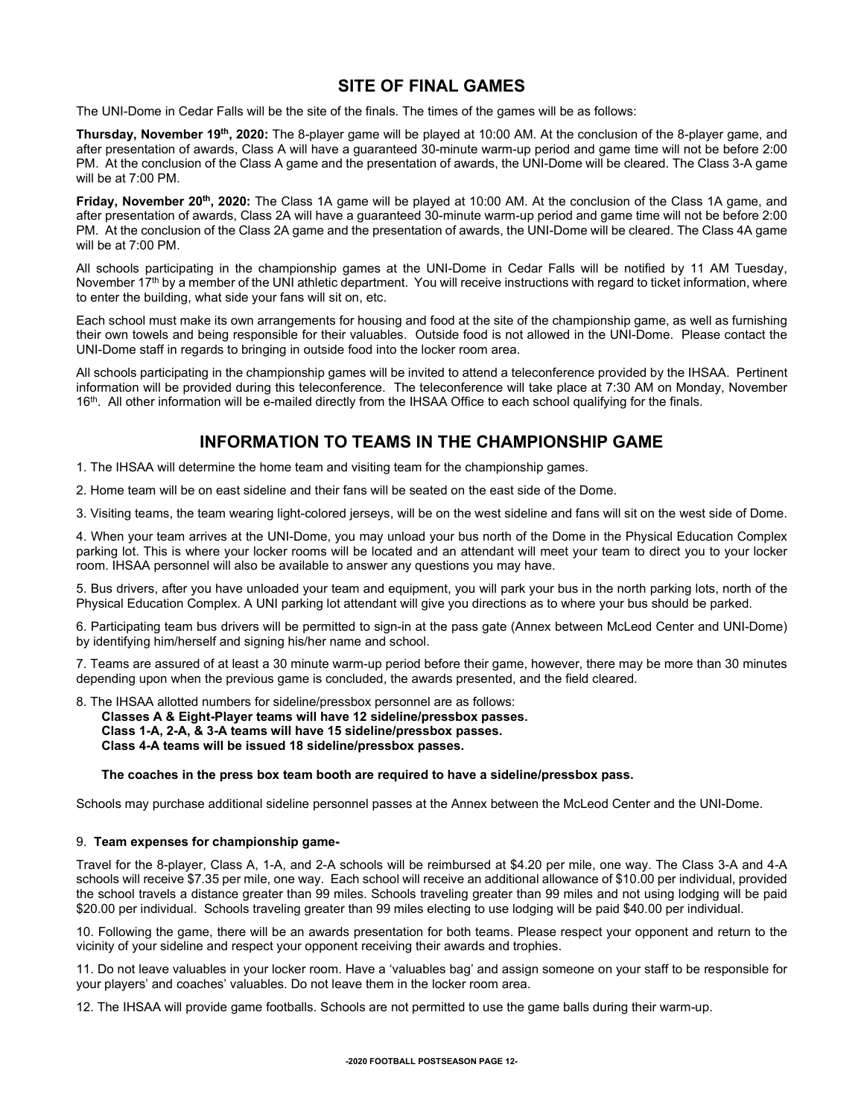## **SITE OF FINAL GAMES**

The UNI-Dome in Cedar Falls will be the site of the finals. The times of the games will be as follows:

**Thursday, November 19th, 2020:** The 8-player game will be played at 10:00 AM. At the conclusion of the 8-player game, and after presentation of awards, Class A will have a guaranteed 30-minute warm-up period and game time will not be before 2:00 PM. At the conclusion of the Class A game and the presentation of awards, the UNI-Dome will be cleared. The Class 3-A game will be at 7:00 PM.

**Friday, November 20th, 2020:** The Class 1A game will be played at 10:00 AM. At the conclusion of the Class 1A game, and after presentation of awards, Class 2A will have a guaranteed 30-minute warm-up period and game time will not be before 2:00 PM. At the conclusion of the Class 2A game and the presentation of awards, the UNI-Dome will be cleared. The Class 4A game will be at 7:00 PM.

All schools participating in the championship games at the UNI-Dome in Cedar Falls will be notified by 11 AM Tuesday, November 17<sup>th</sup> by a member of the UNI athletic department. You will receive instructions with regard to ticket information, where to enter the building, what side your fans will sit on, etc.

Each school must make its own arrangements for housing and food at the site of the championship game, as well as furnishing their own towels and being responsible for their valuables. Outside food is not allowed in the UNI-Dome. Please contact the UNI-Dome staff in regards to bringing in outside food into the locker room area.

All schools participating in the championship games will be invited to attend a teleconference provided by the IHSAA. Pertinent information will be provided during this teleconference. The teleconference will take place at 7:30 AM on Monday, November 16<sup>th</sup>. All other information will be e-mailed directly from the IHSAA Office to each school qualifying for the finals.

## **INFORMATION TO TEAMS IN THE CHAMPIONSHIP GAME**

- 1. The IHSAA will determine the home team and visiting team for the championship games.
- 2. Home team will be on east sideline and their fans will be seated on the east side of the Dome.

3. Visiting teams, the team wearing light-colored jerseys, will be on the west sideline and fans will sit on the west side of Dome.

4. When your team arrives at the UNI-Dome, you may unload your bus north of the Dome in the Physical Education Complex parking lot. This is where your locker rooms will be located and an attendant will meet your team to direct you to your locker room. IHSAA personnel will also be available to answer any questions you may have.

5. Bus drivers, after you have unloaded your team and equipment, you will park your bus in the north parking lots, north of the Physical Education Complex. A UNI parking lot attendant will give you directions as to where your bus should be parked.

6. Participating team bus drivers will be permitted to sign-in at the pass gate (Annex between McLeod Center and UNI-Dome) by identifying him/herself and signing his/her name and school.

7. Teams are assured of at least a 30 minute warm-up period before their game, however, there may be more than 30 minutes depending upon when the previous game is concluded, the awards presented, and the field cleared.

8. The IHSAA allotted numbers for sideline/pressbox personnel are as follows:

**Classes A & Eight-Player teams will have 12 sideline/pressbox passes. Class 1-A, 2-A, & 3-A teams will have 15 sideline/pressbox passes. Class 4-A teams will be issued 18 sideline/pressbox passes.**

## **The coaches in the press box team booth are required to have a sideline/pressbox pass.**

Schools may purchase additional sideline personnel passes at the Annex between the McLeod Center and the UNI-Dome.

## 9. **Team expenses for championship game-**

Travel for the 8-player, Class A, 1-A, and 2-A schools will be reimbursed at \$4.20 per mile, one way. The Class 3-A and 4-A schools will receive \$7.35 per mile, one way. Each school will receive an additional allowance of \$10.00 per individual, provided the school travels a distance greater than 99 miles. Schools traveling greater than 99 miles and not using lodging will be paid \$20.00 per individual. Schools traveling greater than 99 miles electing to use lodging will be paid \$40.00 per individual.

10. Following the game, there will be an awards presentation for both teams. Please respect your opponent and return to the vicinity of your sideline and respect your opponent receiving their awards and trophies.

11. Do not leave valuables in your locker room. Have a 'valuables bag' and assign someone on your staff to be responsible for your players' and coaches' valuables. Do not leave them in the locker room area.

12. The IHSAA will provide game footballs. Schools are not permitted to use the game balls during their warm-up.